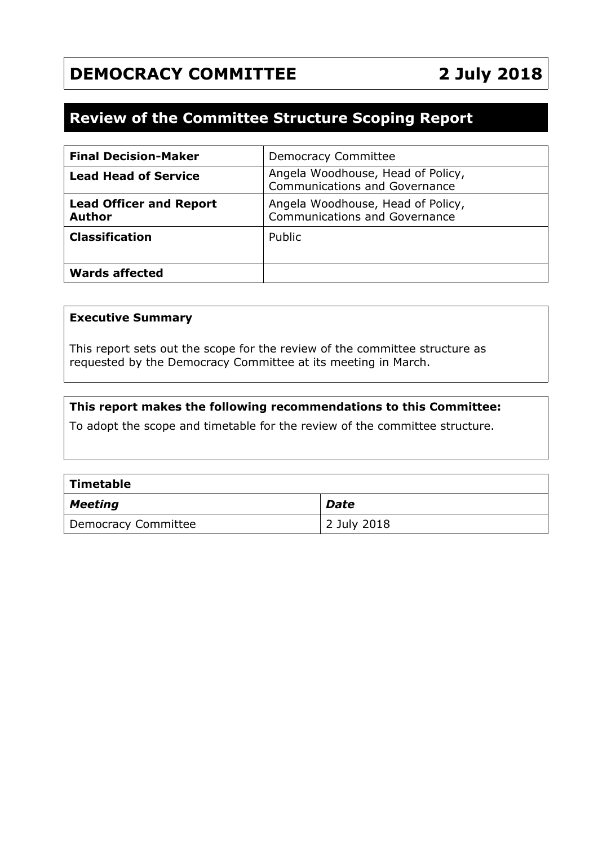# **DEMOCRACY COMMITTEE 2 July 2018**

## **Review of the Committee Structure Scoping Report**

| <b>Final Decision-Maker</b>                     | <b>Democracy Committee</b>                                                |
|-------------------------------------------------|---------------------------------------------------------------------------|
| <b>Lead Head of Service</b>                     | Angela Woodhouse, Head of Policy,<br><b>Communications and Governance</b> |
| <b>Lead Officer and Report</b><br><b>Author</b> | Angela Woodhouse, Head of Policy,<br><b>Communications and Governance</b> |
| <b>Classification</b>                           | Public                                                                    |
| <b>Wards affected</b>                           |                                                                           |

#### **Executive Summary**

This report sets out the scope for the review of the committee structure as requested by the Democracy Committee at its meeting in March.

#### **This report makes the following recommendations to this Committee:**

To adopt the scope and timetable for the review of the committee structure.

| $\mid$ Timetable    |             |  |  |  |
|---------------------|-------------|--|--|--|
| $\mid$ Meeting      | <b>Date</b> |  |  |  |
| Democracy Committee | 2 July 2018 |  |  |  |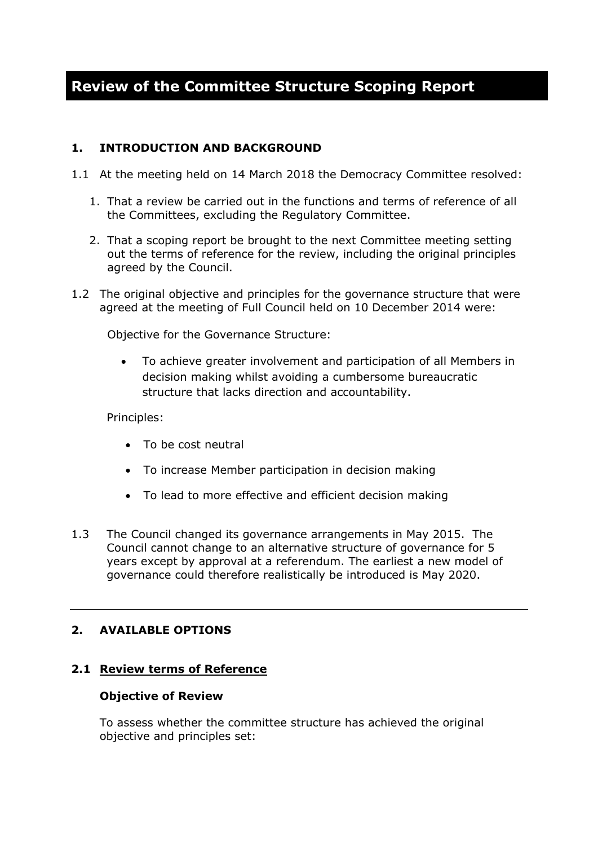## **Review of the Committee Structure Scoping Report**

### **1. INTRODUCTION AND BACKGROUND**

- 1.1 At the meeting held on 14 March 2018 the Democracy Committee resolved:
	- 1. That a review be carried out in the functions and terms of reference of all the Committees, excluding the Regulatory Committee.
	- 2. That a scoping report be brought to the next Committee meeting setting out the terms of reference for the review, including the original principles agreed by the Council.
- 1.2 The original objective and principles for the governance structure that were agreed at the meeting of Full Council held on 10 December 2014 were:

Objective for the Governance Structure:

 To achieve greater involvement and participation of all Members in decision making whilst avoiding a cumbersome bureaucratic structure that lacks direction and accountability.

Principles:

- To be cost neutral
- To increase Member participation in decision making
- To lead to more effective and efficient decision making
- 1.3 The Council changed its governance arrangements in May 2015. The Council cannot change to an alternative structure of governance for 5 years except by approval at a referendum. The earliest a new model of governance could therefore realistically be introduced is May 2020.

## **2. AVAILABLE OPTIONS**

#### **2.1 Review terms of Reference**

#### **Objective of Review**

To assess whether the committee structure has achieved the original objective and principles set: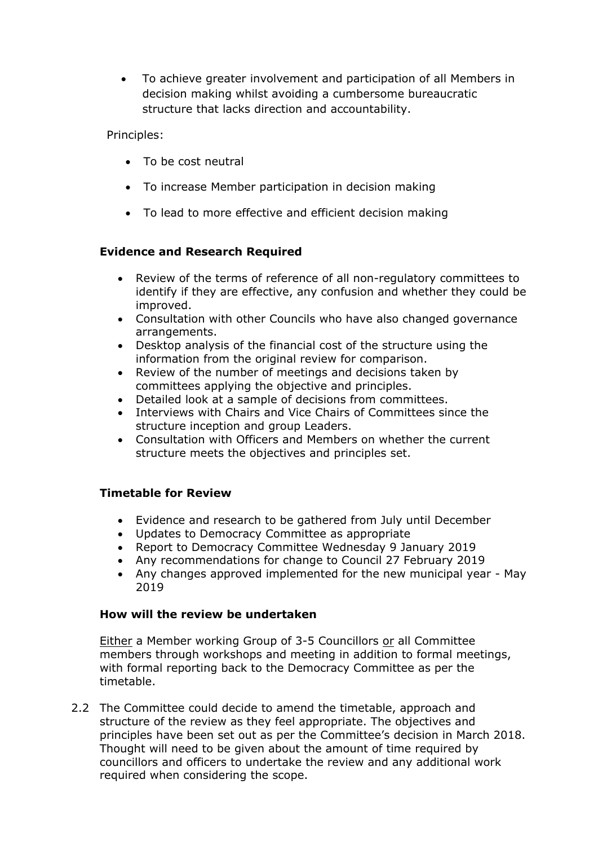To achieve greater involvement and participation of all Members in decision making whilst avoiding a cumbersome bureaucratic structure that lacks direction and accountability.

Principles:

- To be cost neutral
- To increase Member participation in decision making
- To lead to more effective and efficient decision making

## **Evidence and Research Required**

- Review of the terms of reference of all non-regulatory committees to identify if they are effective, any confusion and whether they could be improved.
- Consultation with other Councils who have also changed governance arrangements.
- Desktop analysis of the financial cost of the structure using the information from the original review for comparison.
- Review of the number of meetings and decisions taken by committees applying the objective and principles.
- Detailed look at a sample of decisions from committees.
- Interviews with Chairs and Vice Chairs of Committees since the structure inception and group Leaders.
- Consultation with Officers and Members on whether the current structure meets the objectives and principles set.

## **Timetable for Review**

- Evidence and research to be gathered from July until December
- Updates to Democracy Committee as appropriate
- Report to Democracy Committee Wednesday 9 January 2019
- Any recommendations for change to Council 27 February 2019
- Any changes approved implemented for the new municipal year May 2019

#### **How will the review be undertaken**

Either a Member working Group of 3-5 Councillors or all Committee members through workshops and meeting in addition to formal meetings, with formal reporting back to the Democracy Committee as per the timetable.

2.2 The Committee could decide to amend the timetable, approach and structure of the review as they feel appropriate. The objectives and principles have been set out as per the Committee's decision in March 2018. Thought will need to be given about the amount of time required by councillors and officers to undertake the review and any additional work required when considering the scope.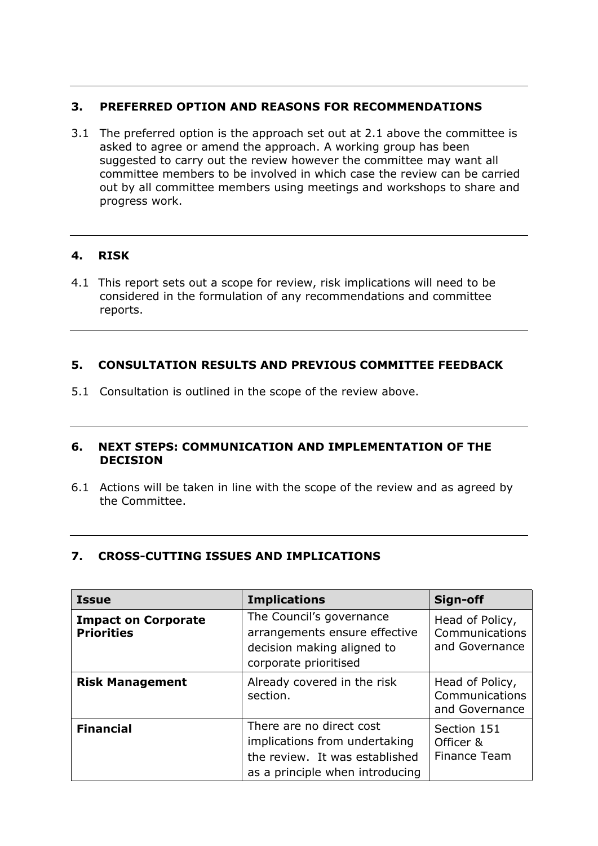## **3. PREFERRED OPTION AND REASONS FOR RECOMMENDATIONS**

3.1 The preferred option is the approach set out at 2.1 above the committee is asked to agree or amend the approach. A working group has been suggested to carry out the review however the committee may want all committee members to be involved in which case the review can be carried out by all committee members using meetings and workshops to share and progress work.

## **4. RISK**

4.1 This report sets out a scope for review, risk implications will need to be considered in the formulation of any recommendations and committee reports.

### **5. CONSULTATION RESULTS AND PREVIOUS COMMITTEE FEEDBACK**

5.1 Consultation is outlined in the scope of the review above.

#### **6. NEXT STEPS: COMMUNICATION AND IMPLEMENTATION OF THE DECISION**

6.1 Actions will be taken in line with the scope of the review and as agreed by the Committee.

## **7. CROSS-CUTTING ISSUES AND IMPLICATIONS**

| <b>Issue</b>                                    | <b>Implications</b>                                                                                                            | Sign-off                                            |
|-------------------------------------------------|--------------------------------------------------------------------------------------------------------------------------------|-----------------------------------------------------|
| <b>Impact on Corporate</b><br><b>Priorities</b> | The Council's governance<br>arrangements ensure effective<br>decision making aligned to<br>corporate prioritised               | Head of Policy,<br>Communications<br>and Governance |
| <b>Risk Management</b>                          | Already covered in the risk<br>section.                                                                                        | Head of Policy,<br>Communications<br>and Governance |
| <b>Financial</b>                                | There are no direct cost<br>implications from undertaking<br>the review. It was established<br>as a principle when introducing | Section 151<br>Officer &<br><b>Finance Team</b>     |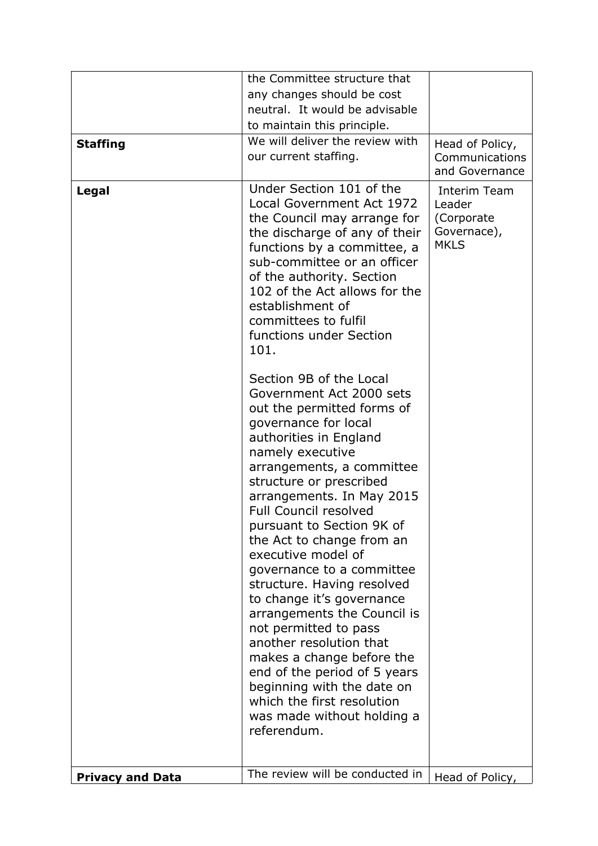|                         | the Committee structure that                                                                                                                                                                                                                                                                         |                                                                    |
|-------------------------|------------------------------------------------------------------------------------------------------------------------------------------------------------------------------------------------------------------------------------------------------------------------------------------------------|--------------------------------------------------------------------|
|                         | any changes should be cost                                                                                                                                                                                                                                                                           |                                                                    |
|                         | neutral. It would be advisable                                                                                                                                                                                                                                                                       |                                                                    |
|                         | to maintain this principle.                                                                                                                                                                                                                                                                          |                                                                    |
| <b>Staffing</b>         | We will deliver the review with                                                                                                                                                                                                                                                                      | Head of Policy,                                                    |
|                         | our current staffing.                                                                                                                                                                                                                                                                                | Communications                                                     |
|                         |                                                                                                                                                                                                                                                                                                      | and Governance                                                     |
| Legal                   | Under Section 101 of the<br><b>Local Government Act 1972</b><br>the Council may arrange for<br>the discharge of any of their<br>functions by a committee, a<br>sub-committee or an officer<br>of the authority. Section<br>102 of the Act allows for the<br>establishment of<br>committees to fulfil | Interim Team<br>Leader<br>(Corporate<br>Governace),<br><b>MKLS</b> |
|                         | functions under Section<br>101.                                                                                                                                                                                                                                                                      |                                                                    |
|                         | Section 9B of the Local<br>Government Act 2000 sets<br>out the permitted forms of<br>governance for local<br>authorities in England<br>namely executive<br>arrangements, a committee<br>structure or prescribed<br>arrangements. In May 2015                                                         |                                                                    |
|                         | <b>Full Council resolved</b><br>pursuant to Section 9K of<br>the Act to change from an<br>executive model of<br>governance to a committee<br>structure. Having resolved<br>to change it's governance<br>arrangements the Council is<br>not permitted to pass                                         |                                                                    |
|                         | another resolution that<br>makes a change before the<br>end of the period of 5 years<br>beginning with the date on<br>which the first resolution<br>was made without holding a<br>referendum.                                                                                                        |                                                                    |
| <b>Privacy and Data</b> | The review will be conducted in                                                                                                                                                                                                                                                                      | Head of Policy,                                                    |